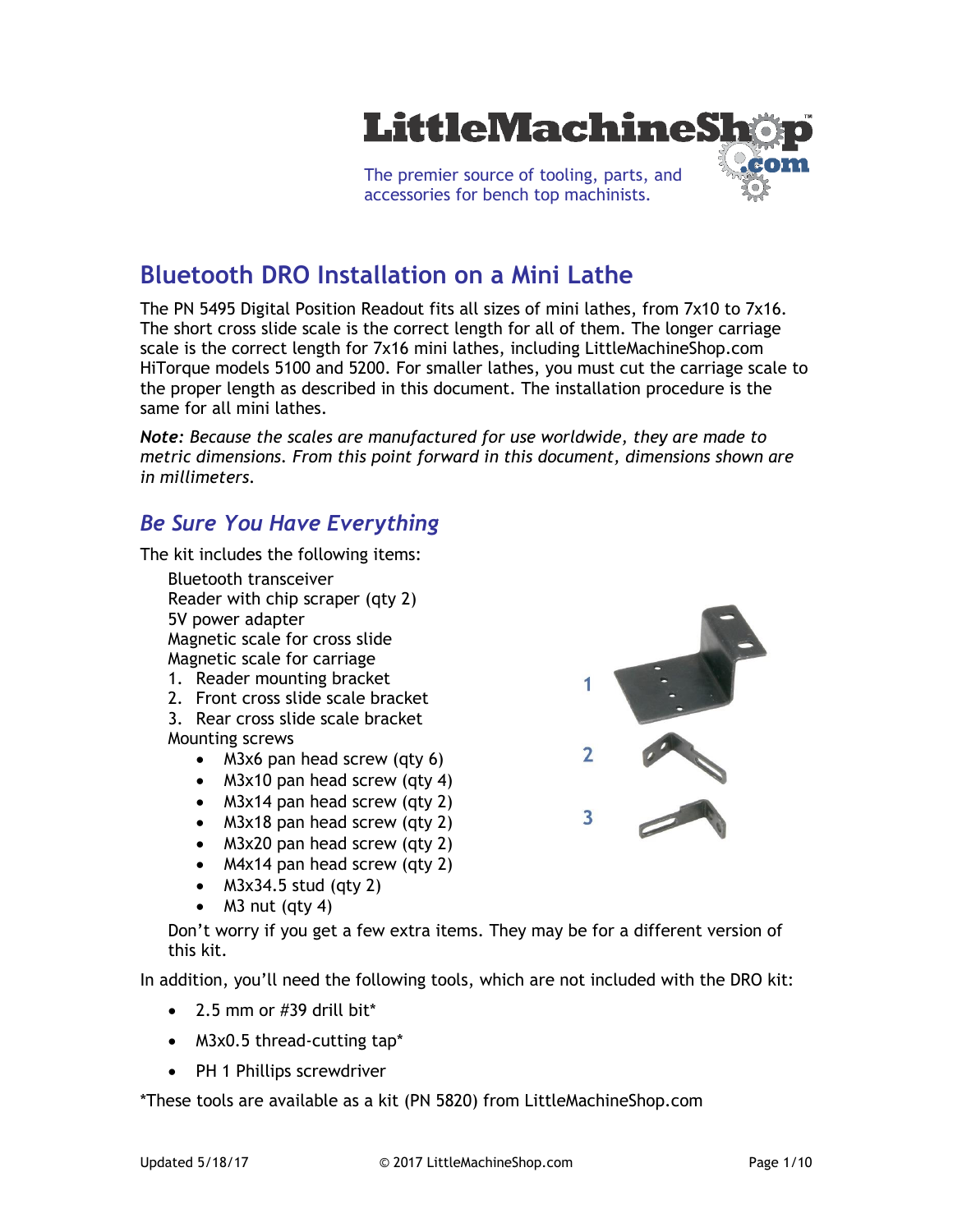

# **Bluetooth DRO Installation on a Mini Lathe**

The PN 5495 Digital Position Readout fits all sizes of mini lathes, from 7x10 to 7x16. The short cross slide scale is the correct length for all of them. The longer carriage scale is the correct length for 7x16 mini lathes, including LittleMachineShop.com HiTorque models 5100 and 5200. For smaller lathes, you must cut the carriage scale to the proper length as described in this document. The installation procedure is the same for all mini lathes.

*Note: Because the scales are manufactured for use worldwide, they are made to metric dimensions. From this point forward in this document, dimensions shown are in millimeters.*

#### *Be Sure You Have Everything*

The kit includes the following items:

- Bluetooth transceiver Reader with chip scraper (qty 2) 5V power adapter Magnetic scale for cross slide Magnetic scale for carriage
- 1. Reader mounting bracket
- 2. Front cross slide scale bracket

3. Rear cross slide scale bracket Mounting screws

- M3x6 pan head screw (qty 6)
- M3x10 pan head screw (qty 4)
- M3x14 pan head screw (qty 2)
- M3x18 pan head screw (qty 2)
- M3x20 pan head screw (qty 2)
- M4x14 pan head screw (qty 2)
- $\bullet$  M3x34.5 stud (qty 2)
- $\bullet$  M3 nut (qty 4)

Don't worry if you get a few extra items. They may be for a different version of this kit.

In addition, you'll need the following tools, which are not included with the DRO kit:

- $\bullet$  2.5 mm or #39 drill bit\*
- M3x0.5 thread-cutting tap\*
- PH 1 Phillips screwdriver

\*These tools are available as a kit (PN 5820) from LittleMachineShop.com

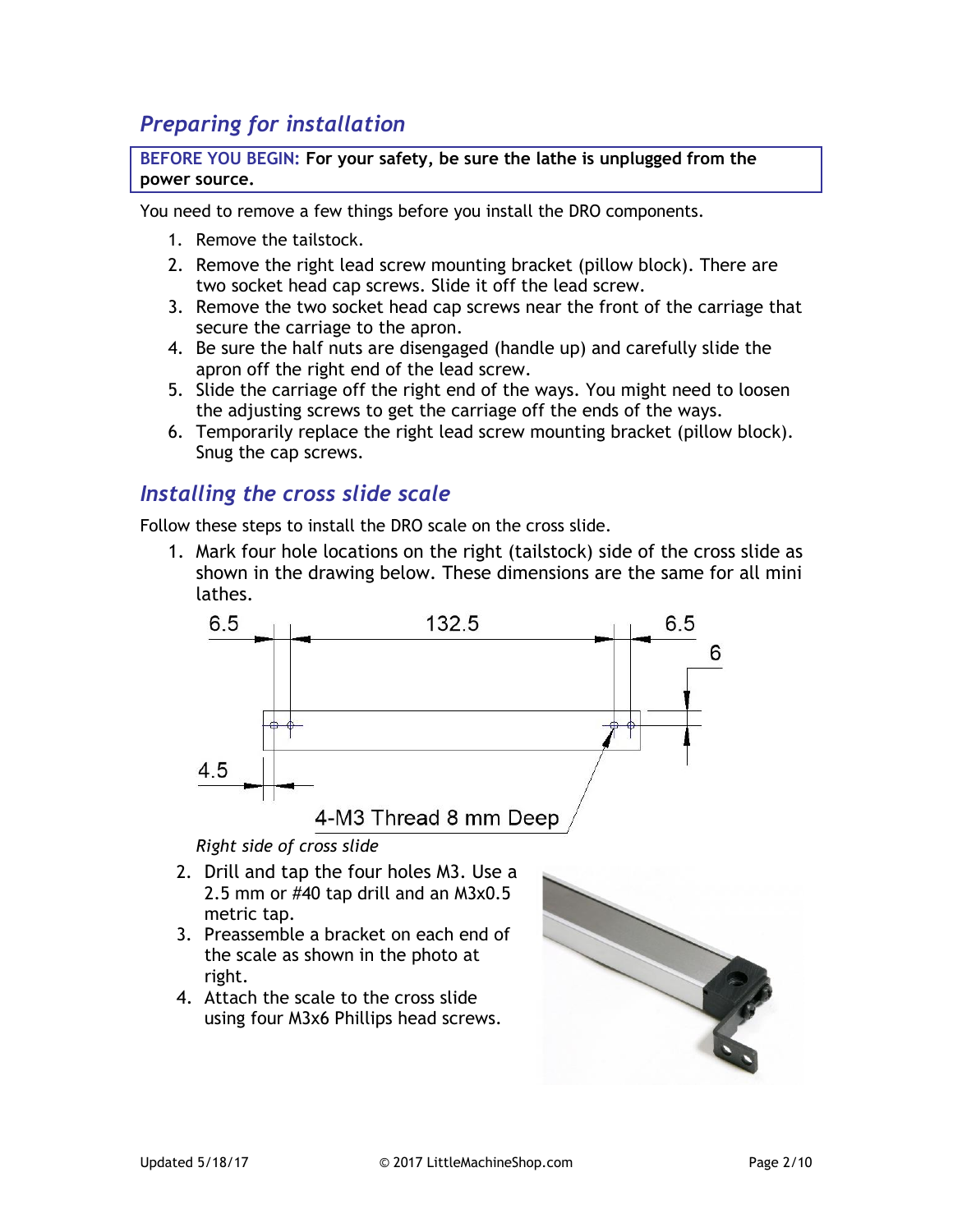# *Preparing for installation*

**BEFORE YOU BEGIN: For your safety, be sure the lathe is unplugged from the power source.**

You need to remove a few things before you install the DRO components.

- 1. Remove the tailstock.
- 2. Remove the right lead screw mounting bracket (pillow block). There are two socket head cap screws. Slide it off the lead screw.
- 3. Remove the two socket head cap screws near the front of the carriage that secure the carriage to the apron.
- 4. Be sure the half nuts are disengaged (handle up) and carefully slide the apron off the right end of the lead screw.
- 5. Slide the carriage off the right end of the ways. You might need to loosen the adjusting screws to get the carriage off the ends of the ways.
- 6. Temporarily replace the right lead screw mounting bracket (pillow block). Snug the cap screws.

#### *Installing the cross slide scale*

Follow these steps to install the DRO scale on the cross slide.

1. Mark four hole locations on the right (tailstock) side of the cross slide as shown in the drawing below. These dimensions are the same for all mini lathes.



*Right side of cross slide*

- 2. Drill and tap the four holes M3. Use a 2.5 mm or #40 tap drill and an M3x0.5 metric tap.
- 3. Preassemble a bracket on each end of the scale as shown in the photo at right.
- 4. Attach the scale to the cross slide using four M3x6 Phillips head screws.

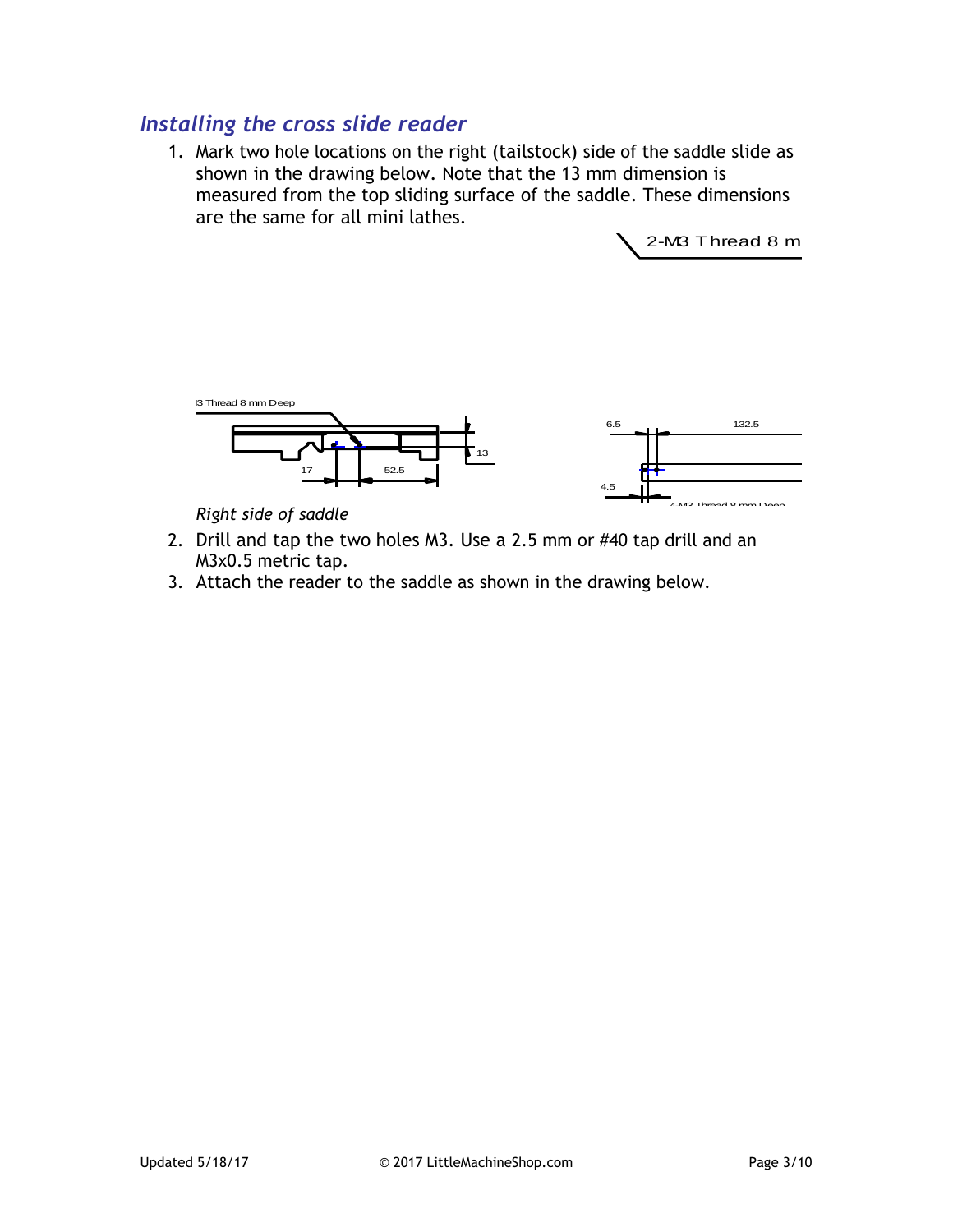# *Installing the cross slide reader*

1. Mark two hole locations on the right (tailstock) side of the saddle slide as mark two note tocations on the right (taitstock) side of the saddle stide as<br>shown in the drawing below. Note that the 13 mm dimension is measured from the top sliding surface of the saddle. These dimensions are the same for all mini lathes.

 $2-M3$  Thread 8 m



*Right side of saddle*

- 2. Drill and tap the two holes M3. Use a 2.5 mm or #40 tap drill and an M3x0.5 metric tap.
- 3. Attach the reader to the saddle as shown in the drawing below.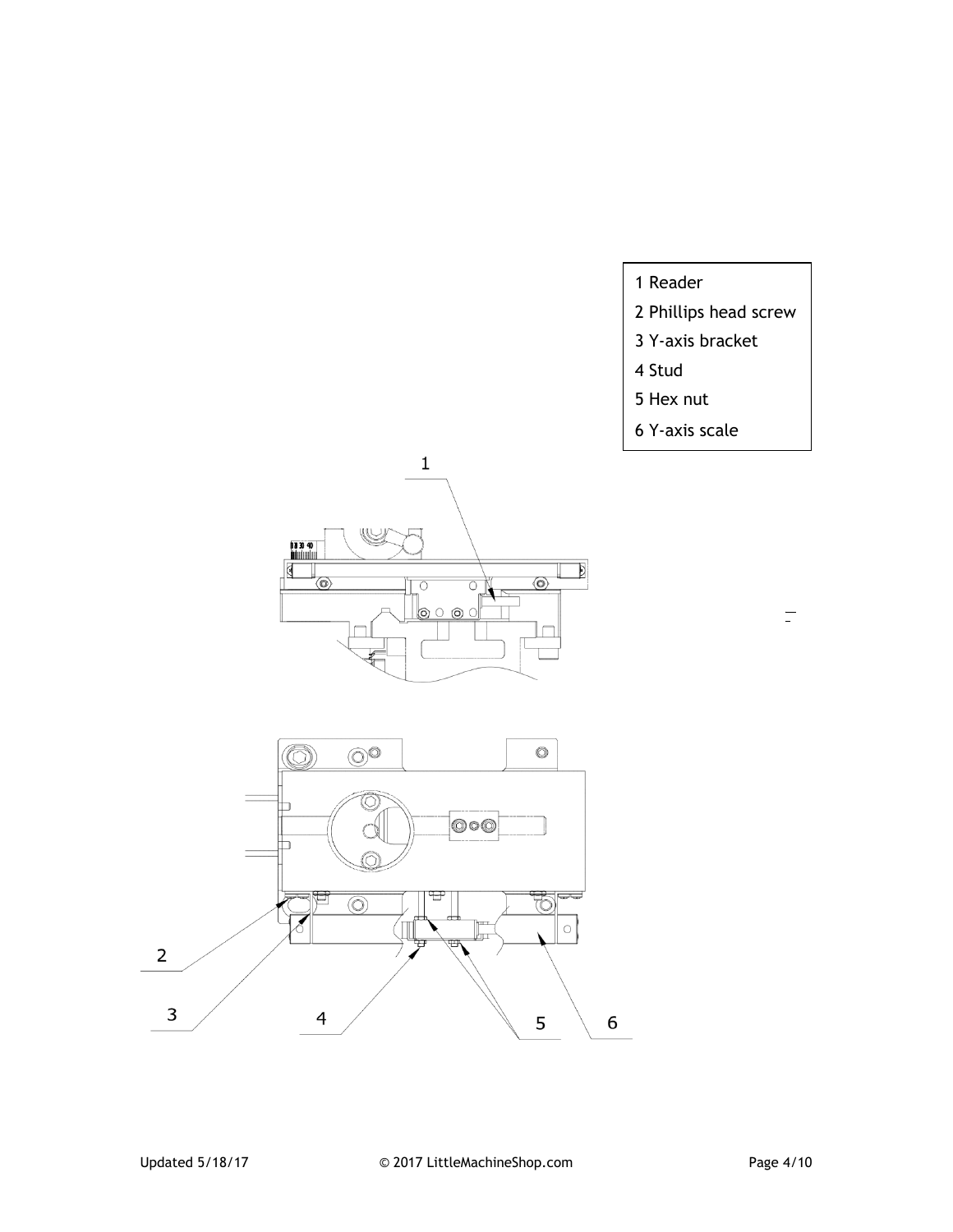- 1 Reader
- 2 Phillips head screw
- 3 Y-axis bracket
- 4 Stud
- 5 Hex nut
- 6 Y-axis scale





 $\overline{\square}$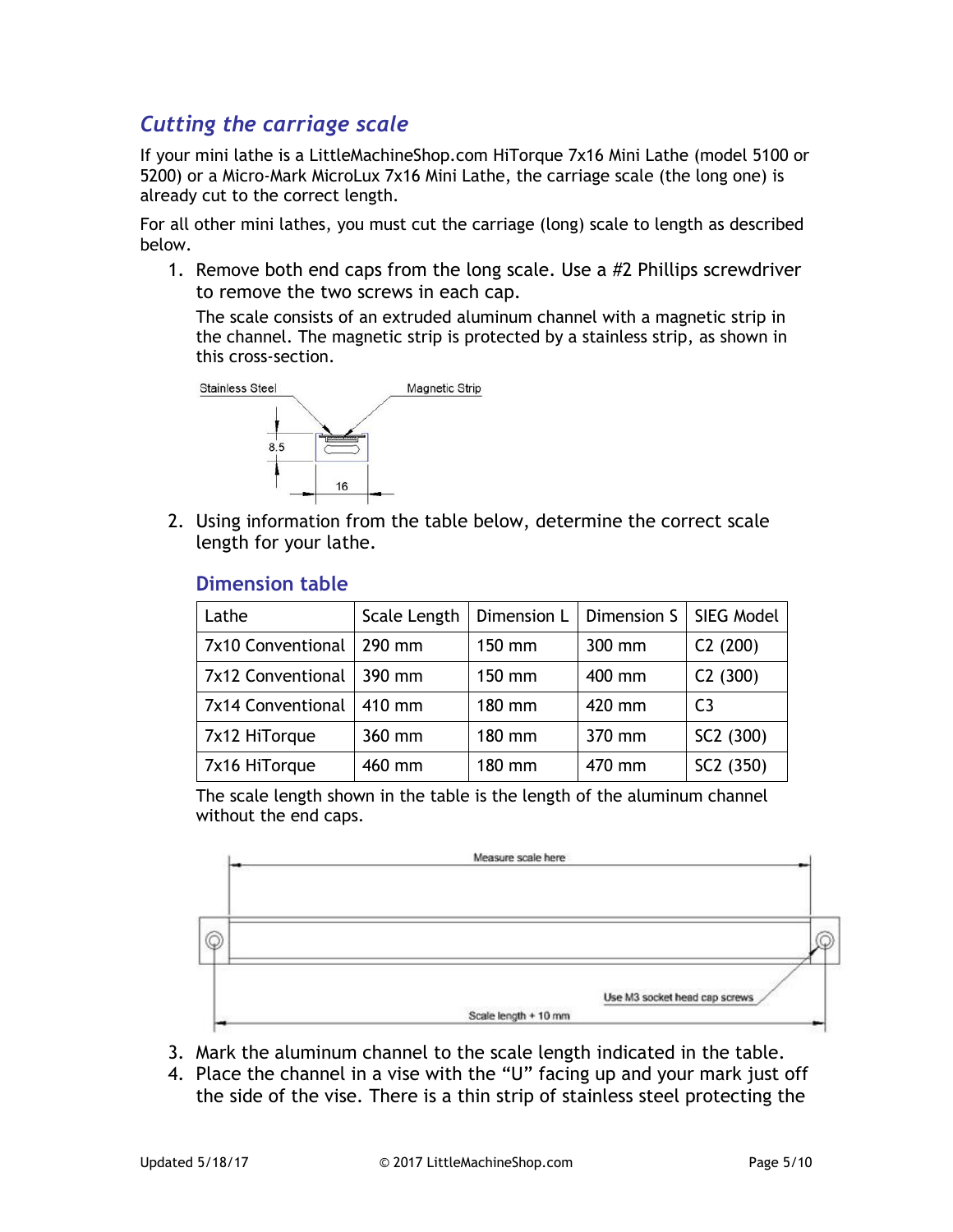# *Cutting the carriage scale*

If your mini lathe is a LittleMachineShop.com HiTorque 7x16 Mini Lathe (model 5100 or 5200) or a Micro-Mark MicroLux 7x16 Mini Lathe, the carriage scale (the long one) is already cut to the correct length.

For all other mini lathes, you must cut the carriage (long) scale to length as described below.

1. Remove both end caps from the long scale. Use a #2 Phillips screwdriver to remove the two screws in each cap.

The scale consists of an extruded aluminum channel with a magnetic strip in the channel. The magnetic strip is protected by a stainless strip, as shown in this cross-section.



2. Using information from the table below, determine the correct scale length for your lathe.

| Lathe                      | Scale Length | Dimension L | Dimension S   SIEG Model |                |
|----------------------------|--------------|-------------|--------------------------|----------------|
| 7x10 Conventional   290 mm |              | 150 mm      | 300 mm                   | C2(200)        |
| 7x12 Conventional          | 390 mm       | 150 mm      | 400 mm                   | C2(300)        |
| 7x14 Conventional          | 410 mm       | 180 mm      | 420 mm                   | C <sub>3</sub> |
| 7x12 HiTorque              | 360 mm       | 180 mm      | 370 mm                   | SC2 (300)      |
| 7x16 HiTorque              | 460 mm       | 180 mm      | 470 mm                   | SC2 (350)      |

The scale length shown in the table is the length of the aluminum channel without the end caps.



- 3. Mark the aluminum channel to the scale length indicated in the table.
- 4. Place the channel in a vise with the "U" facing up and your mark just off the side of the vise. There is a thin strip of stainless steel protecting the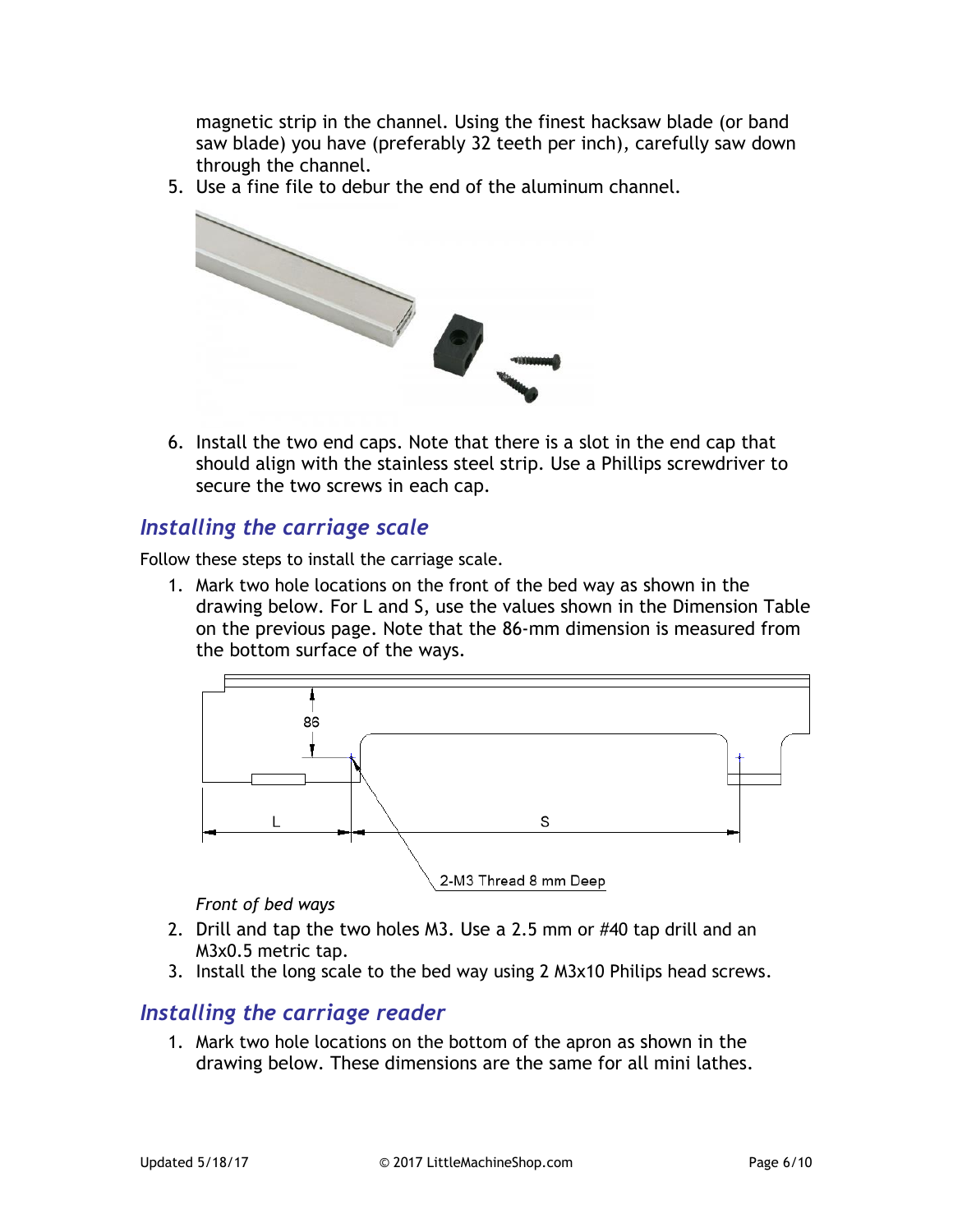magnetic strip in the channel. Using the finest hacksaw blade (or band saw blade) you have (preferably 32 teeth per inch), carefully saw down through the channel.

5. Use a fine file to debur the end of the aluminum channel.



6. Install the two end caps. Note that there is a slot in the end cap that should align with the stainless steel strip. Use a Phillips screwdriver to secure the two screws in each cap.

#### *Installing the carriage scale*

Follow these steps to install the carriage scale.

1. Mark two hole locations on the front of the bed way as shown in the drawing below. For L and S, use the values shown in the Dimension Table on the previous page. Note that the 86-mm dimension is measured from the bottom surface of the ways.



*Front of bed ways*

- 2. Drill and tap the two holes M3. Use a 2.5 mm or #40 tap drill and an M3x0.5 metric tap.
- 3. Install the long scale to the bed way using 2 M3x10 Philips head screws.

## *Installing the carriage reader*

1. Mark two hole locations on the bottom of the apron as shown in the drawing below. These dimensions are the same for all mini lathes.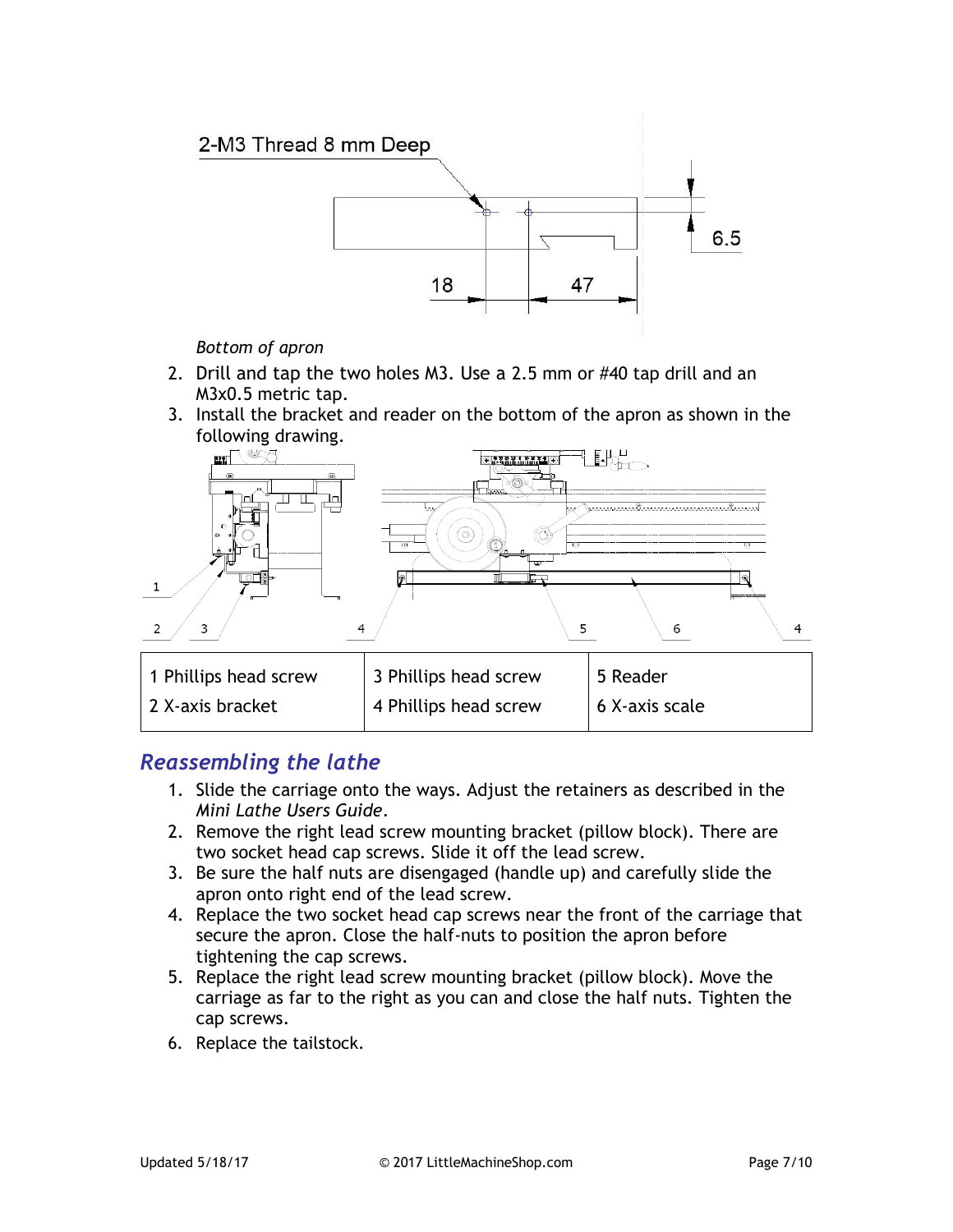

*Bottom of apron*

- 2. Drill and tap the two holes M3. Use a 2.5 mm or #40 tap drill and an M3x0.5 metric tap.
- 3. Install the bracket and reader on the bottom of the apron as shown in the following drawing.



## *Reassembling the lathe*

- 1. Slide the carriage onto the ways. Adjust the retainers as described in the *Mini Lathe Users Guide*.
- 2. Remove the right lead screw mounting bracket (pillow block). There are two socket head cap screws. Slide it off the lead screw.
- 3. Be sure the half nuts are disengaged (handle up) and carefully slide the apron onto right end of the lead screw.
- 4. Replace the two socket head cap screws near the front of the carriage that secure the apron. Close the half-nuts to position the apron before tightening the cap screws.
- 5. Replace the right lead screw mounting bracket (pillow block). Move the carriage as far to the right as you can and close the half nuts. Tighten the cap screws.
- 6. Replace the tailstock.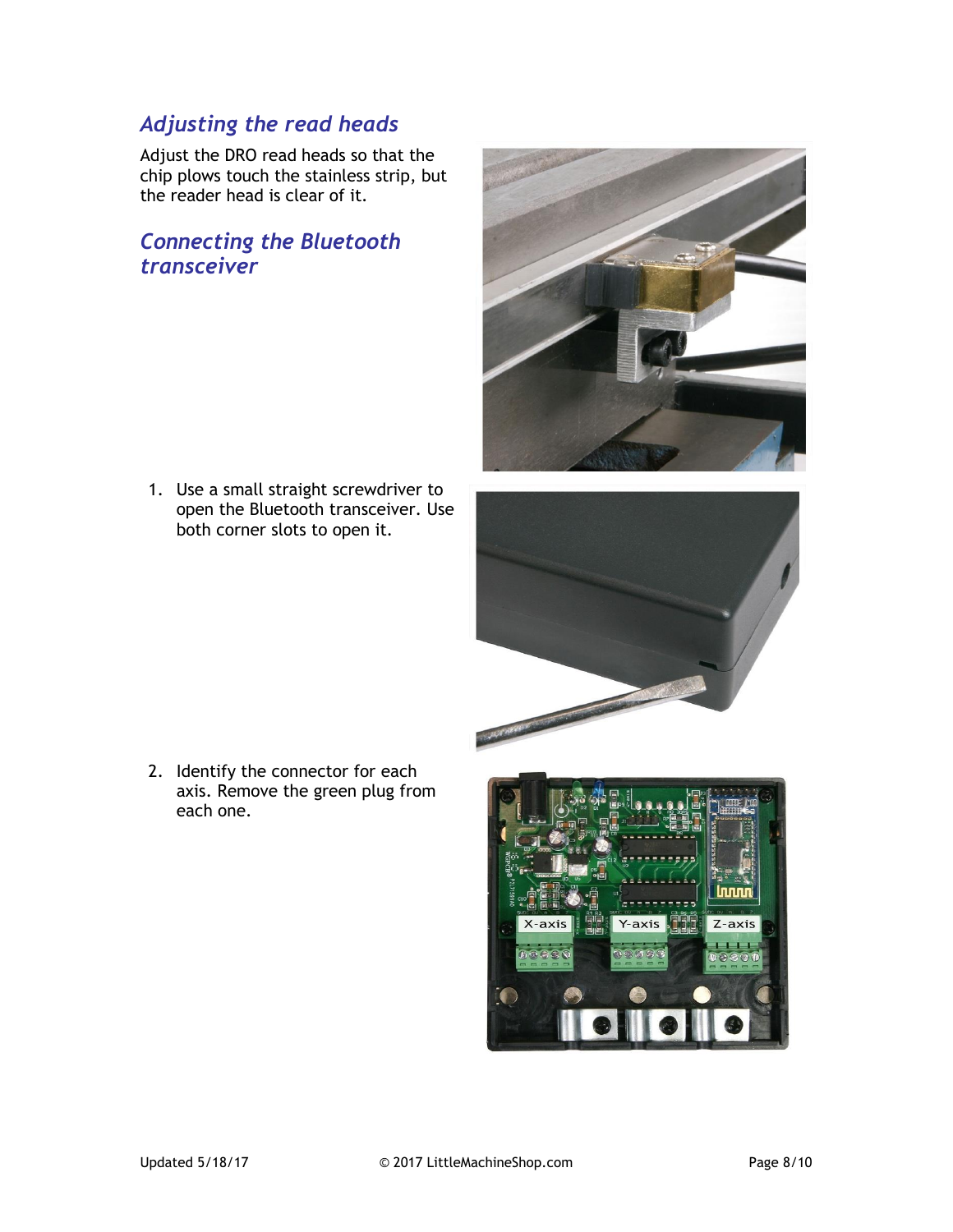# *Adjusting the read heads*

Adjust the DRO read heads so that the chip plows touch the stainless strip, but the reader head is clear of it.

# *Connecting the Bluetooth transceiver*

1. Use a small straight screwdriver to open the Bluetooth transceiver. Use both corner slots to open it.





2. Identify the connector for each axis. Remove the green plug from each one.

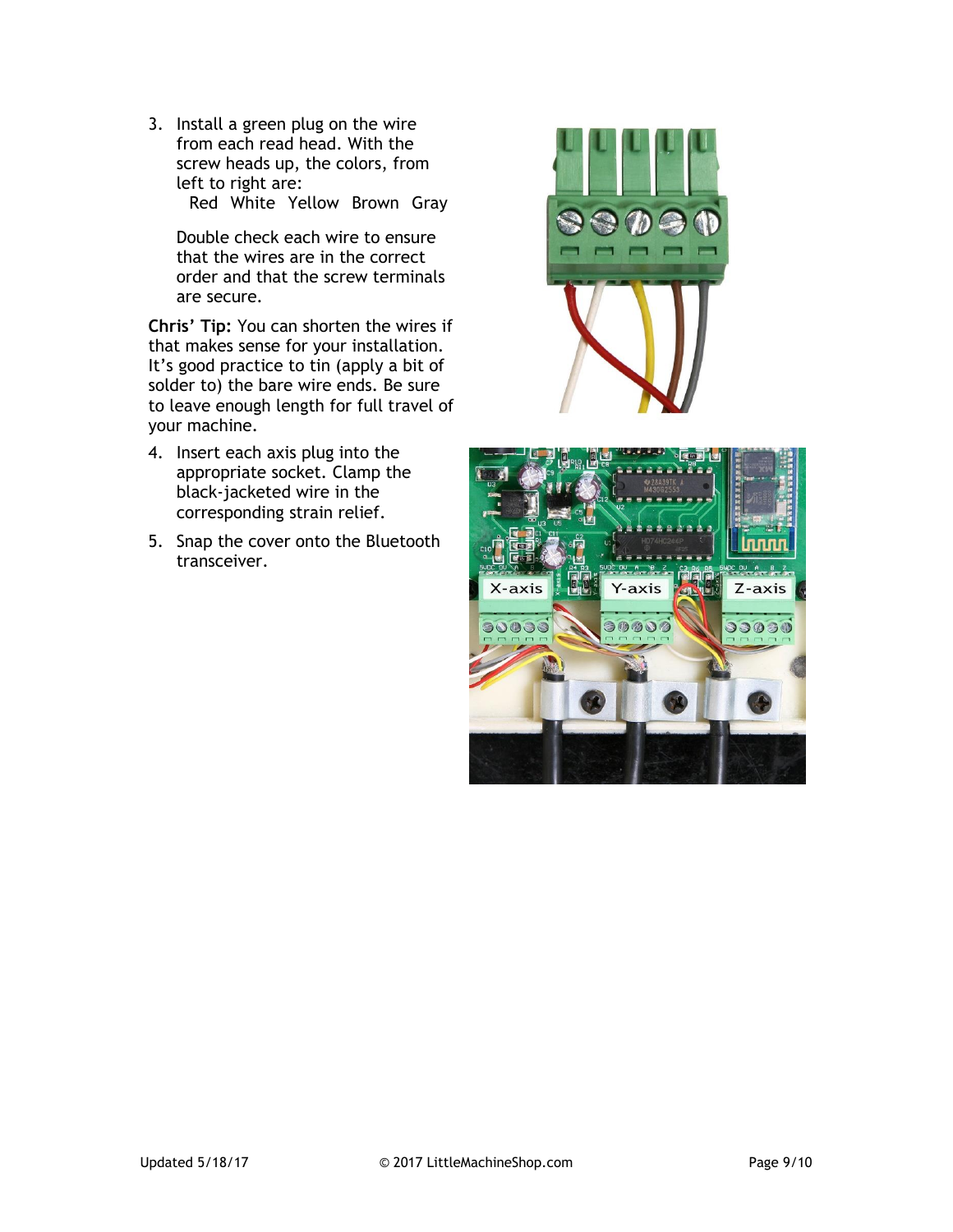3. Install a green plug on the wire from each read head. With the screw heads up, the colors, from left to right are:

Red White Yellow Brown Gray

Double check each wire to ensure that the wires are in the correct order and that the screw terminals are secure.

**Chris' Tip:** You can shorten the wires if that makes sense for your installation. It's good practice to tin (apply a bit of solder to) the bare wire ends. Be sure to leave enough length for full travel of your machine.

- 4. Insert each axis plug into the appropriate socket. Clamp the black-jacketed wire in the corresponding strain relief.
- 5. Snap the cover onto the Bluetooth transceiver.